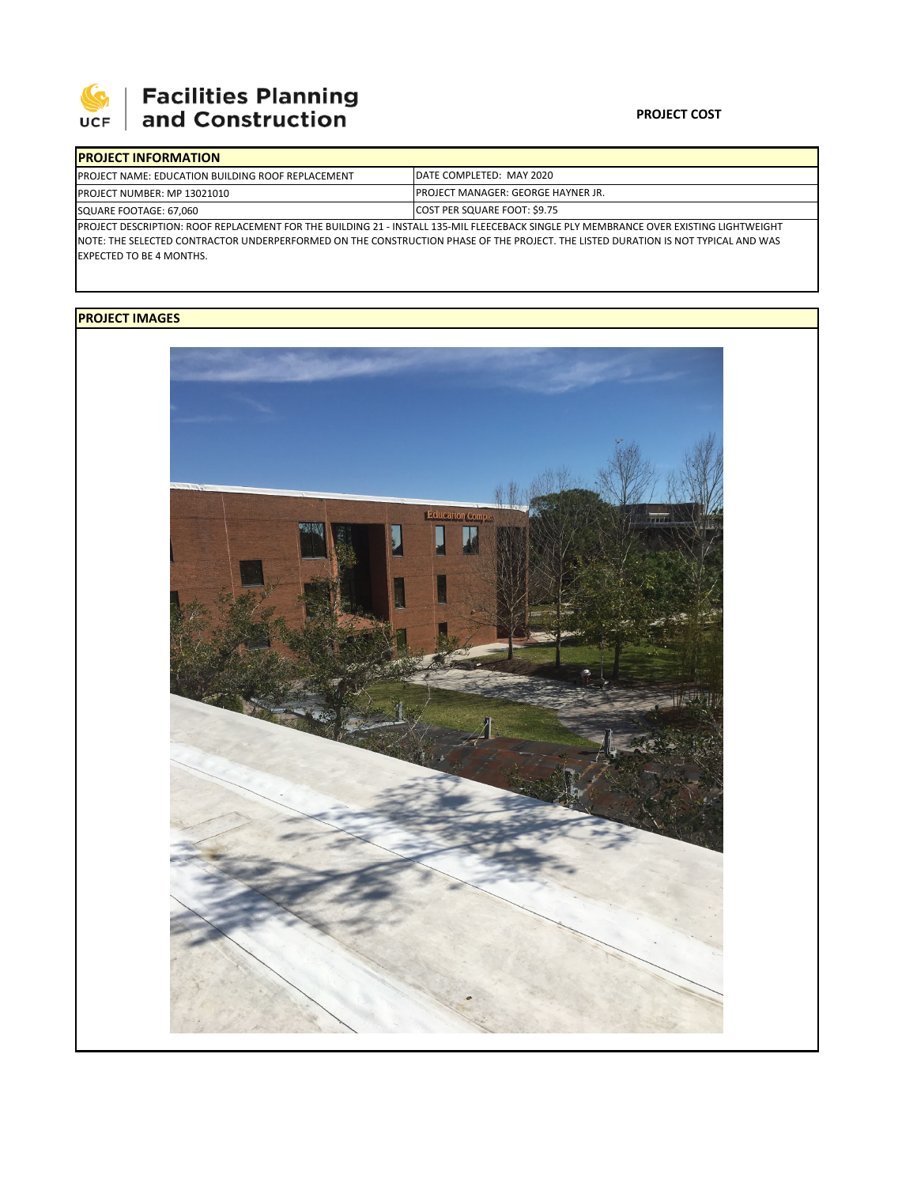

## **SEPTE AND Facilities Planning**<br>UCF and Construction

## **PROJECT COST**

| <b>IPROJECT INFORMATION</b>                                                                                                            |                                     |  |  |  |  |  |  |
|----------------------------------------------------------------------------------------------------------------------------------------|-------------------------------------|--|--|--|--|--|--|
| <b>IPROJECT NAME: EDUCATION BUILDING ROOF REPLACEMENT</b>                                                                              | IDATE COMPLETED: MAY 2020           |  |  |  |  |  |  |
| <b>PROJECT NUMBER: MP 13021010</b>                                                                                                     | IPROJECT MANAGER: GEORGE HAYNER JR. |  |  |  |  |  |  |
| SQUARE FOOTAGE: 67.060                                                                                                                 | COST PER SQUARE FOOT: \$9.75        |  |  |  |  |  |  |
| IPROJECT DESCRIPTION: ROOF REPLACEMENT FOR THE BUILDING 21 - INSTALL 135-MIL FLEECEBACK SINGLE PLY MEMBRANCE OVER EXISTING LIGHTWEIGHT |                                     |  |  |  |  |  |  |
| INOTE: THE SELECTED CONTRACTOR UNDERPERFORMED ON THE CONSTRUCTION PHASE OF THE PROJECT. THE LISTED DURATION IS NOT TYPICAL AND WAS     |                                     |  |  |  |  |  |  |
| <b>EXPECTED TO BE 4 MONTHS.</b>                                                                                                        |                                     |  |  |  |  |  |  |

## **PROJECT IMAGES**